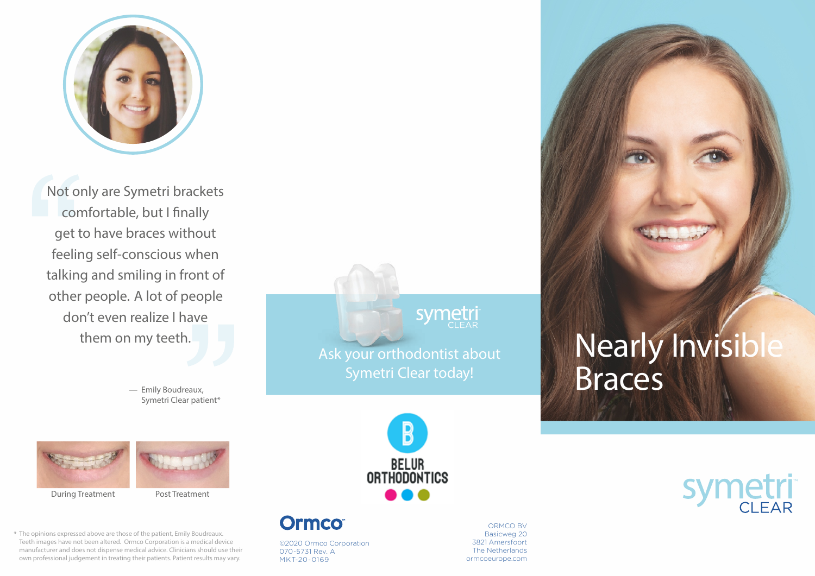

Not only are Symetri brackets comfortable, but I finally get to have braces without feeling self-conscious when talking and smiling in front of other people. A lot of people don't even realize I have them on my teeth.

> — Emily Boudreaux, Symetri Clear patient\*



During Treatment Post Treatment

The opinions expressed above are those of the patient, Emily Boudreaux. Teeth images have not been altered. Ormco Corporation is a medical device manufacturer and does not dispense medical advice. Clinicians should use their own professional judgement in treating their patients. Patient results may vary.

**symetri** Ask your orthodontist about

Symetri Clear today!



**Ormco** 

©2020 Ormco Corporation 070-5731 Rev. A MKT-20-0169

ORMCO BV Basicweg 20 3821 Amersfoort The Netherlands ormcoeurope.com

## **Nearly Invisibl** Braces